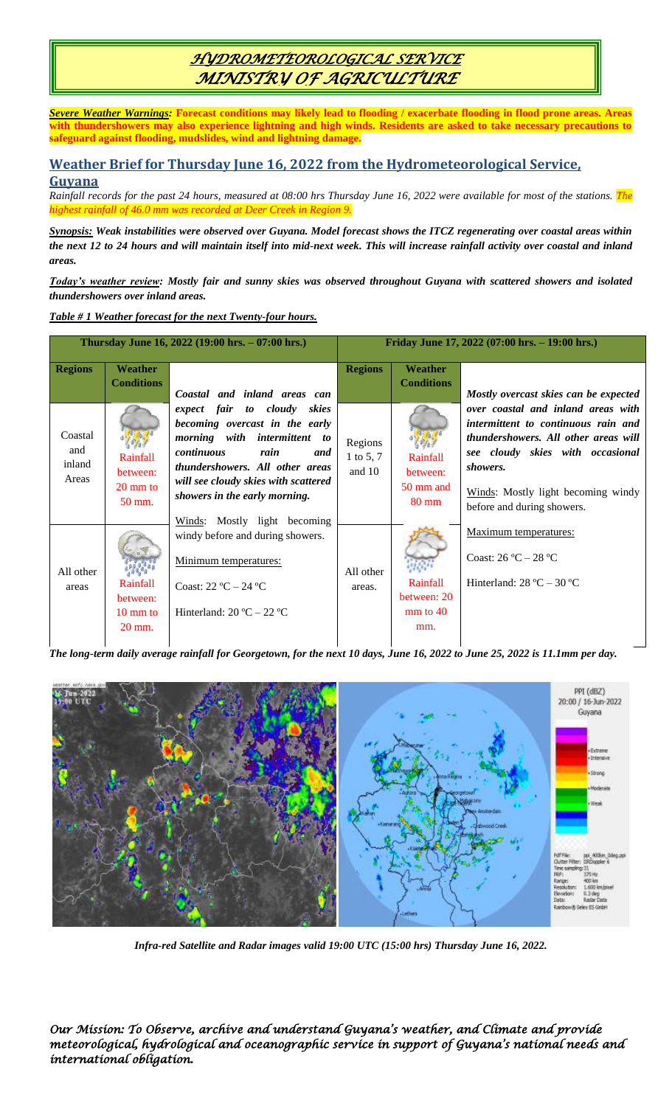# *HYDROMETEOROLOGICAL SERVICE MINISTRY OF AGRICULTURE*

*Severe Weather Warnings:* **Forecast conditions may likely lead to flooding / exacerbate flooding in flood prone areas. Areas with thundershowers may also experience lightning and high winds. Residents are asked to take necessary precautions to safeguard against flooding, mudslides, wind and lightning damage.**

### **Weather Brief for Thursday June 16, 2022 from the Hydrometeorological Service, Guyana**

*Rainfall records for the past 24 hours, measured at 08:00 hrs Thursday June 16, 2022 were available for most of the stations. The highest rainfall of 46.0 mm was recorded at Deer Creek in Region 9.*

*Synopsis: Weak instabilities were observed over Guyana. Model forecast shows the ITCZ regenerating over coastal areas within the next 12 to 24 hours and will maintain itself into mid-next week. This will increase rainfall activity over coastal and inland areas.* 

*Today's weather review: Mostly fair and sunny skies was observed throughout Guyana with scattered showers and isolated thundershowers over inland areas.*

### *Table # 1 Weather forecast for the next Twenty-four hours.*

| Thursday June 16, 2022 (19:00 hrs. – 07:00 hrs.) |                                                      |                                                                                                                                                                                                                                           | Friday June 17, 2022 (07:00 hrs. - 19:00 hrs.) |                                                      |                                                                                                                                                                                                                                              |
|--------------------------------------------------|------------------------------------------------------|-------------------------------------------------------------------------------------------------------------------------------------------------------------------------------------------------------------------------------------------|------------------------------------------------|------------------------------------------------------|----------------------------------------------------------------------------------------------------------------------------------------------------------------------------------------------------------------------------------------------|
| <b>Regions</b>                                   | <b>Weather</b><br><b>Conditions</b>                  | Coastal and inland areas can                                                                                                                                                                                                              | <b>Regions</b>                                 | <b>Weather</b><br><b>Conditions</b>                  | Mostly overcast skies can be expected                                                                                                                                                                                                        |
| Coastal<br>and<br>inland<br>Areas                | Rainfall<br>between:<br>20 mm to<br>$50$ mm.         | expect fair to cloudy<br>skies<br>becoming overcast in the early<br>morning with intermittent to<br>continuous<br>rain<br>and<br>thundershowers. All other areas<br>will see cloudy skies with scattered<br>showers in the early morning. | Regions<br>1 to 5, 7<br>and 10                 | Rainfall<br>between:<br>50 mm and<br>$80 \text{ mm}$ | over coastal and inland areas with<br>intermittent to continuous rain and<br><i>thundershowers. All other areas will</i><br>see cloudy skies with occasional<br>showers.<br>Winds: Mostly light becoming windy<br>before and during showers. |
| All other<br>areas                               | Rainfall<br>between:<br>$10 \text{ mm}$ to<br>20 mm. | Winds: Mostly light becoming<br>windy before and during showers.<br>Minimum temperatures:<br>Coast: $22 \text{ °C} - 24 \text{ °C}$<br>Hinterland: $20^{\circ}C - 22^{\circ}C$                                                            | All other<br>areas.                            | Rainfall<br>between: 20<br>$mm$ to 40<br>mm.         | Maximum temperatures:<br>Coast: $26^{\circ}C - 28^{\circ}C$<br>Hinterland: $28 \text{ °C} - 30 \text{ °C}$                                                                                                                                   |

*The long-term daily average rainfall for Georgetown, for the next 10 days, June 16, 2022 to June 25, 2022 is 11.1mm per day.*



*Infra-red Satellite and Radar images valid 19:00 UTC (15:00 hrs) Thursday June 16, 2022.*

*Our Mission: To Observe, archive and understand Guyana's weather, and Climate and provide meteorological, hydrological and oceanographic service in support of Guyana's national needs and international obligation.*